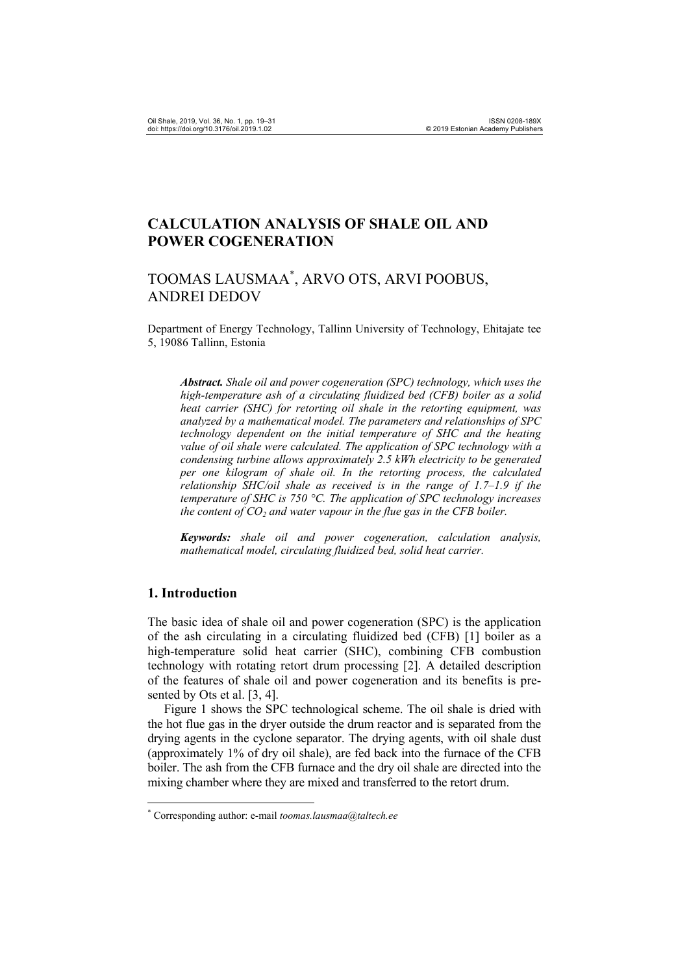# **CALCULATION ANALYSIS OF SHALE OIL AND POWER COGENERATION**

# TOOMAS LAUSMAA\* , ARVO OTS, ARVI POOBUS, ANDREI DEDOV

Department of Energy Technology, Tallinn University of Technology, Ehitajate tee 5, 19086 Tallinn, Estonia

*Abstract. Shale oil and power cogeneration (SPC) technology, which uses the high-temperature ash of a circulating fluidized bed (CFB) boiler as a solid heat carrier (SHC) for retorting oil shale in the retorting equipment, was analyzed by a mathematical model. The parameters and relationships of SPC technology dependent on the initial temperature of SHC and the heating value of oil shale were calculated. The application of SPC technology with a condensing turbine allows approximately 2.5 kWh electricity to be generated per one kilogram of shale oil. In the retorting process, the calculated relationship SHC/oil shale as received is in the range of 1.7–1.9 if the temperature of SHC is 750 °C. The application of SPC technology increases the content of*  $CO<sub>2</sub>$  *and water vapour in the flue gas in the CFB boiler.* 

*Keywords: shale oil and power cogeneration, calculation analysis, mathematical model, circulating fluidized bed, solid heat carrier.* 

### **1. Introduction**

 $\overline{a}$ 

The basic idea of shale oil and power cogeneration (SPC) is the application of the ash circulating in a circulating fluidized bed (CFB) [1] boiler as a high-temperature solid heat carrier (SHC), combining CFB combustion technology with rotating retort drum processing [2]. A detailed description of the features of shale oil and power cogeneration and its benefits is presented by Ots et al. [3, 4].

Figure 1 shows the SPC technological scheme. The oil shale is dried with the hot flue gas in the dryer outside the drum reactor and is separated from the drying agents in the cyclone separator. The drying agents, with oil shale dust (approximately 1% of dry oil shale), are fed back into the furnace of the CFB boiler. The ash from the CFB furnace and the dry oil shale are directed into the mixing chamber where they are mixed and transferred to the retort drum.

<sup>\*</sup> Corresponding author: e-mail *toomas.lausmaa@taltech.ee*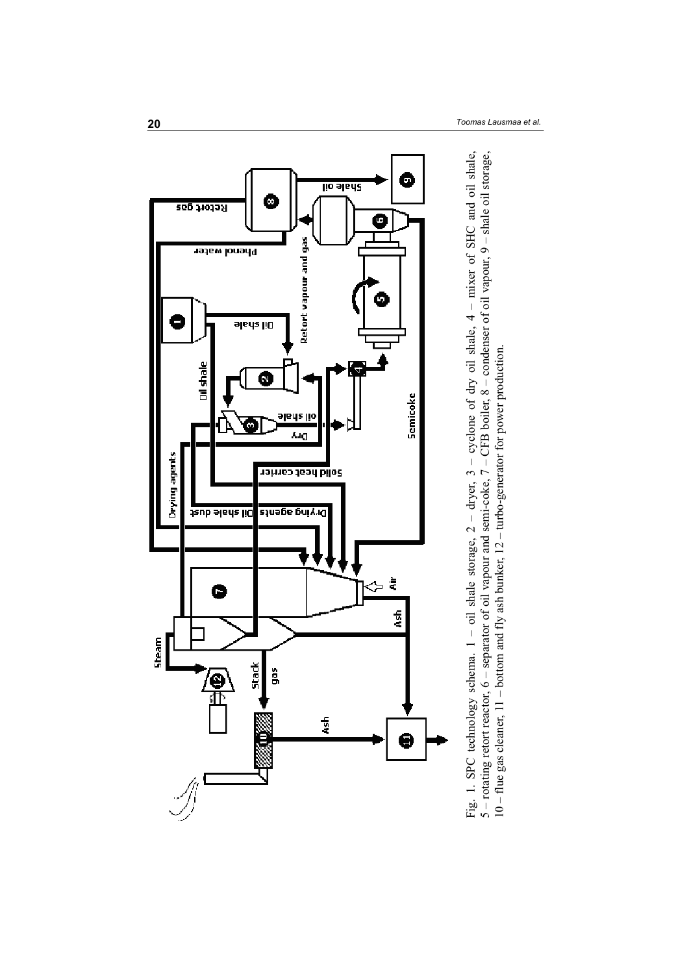

Fig. 1. SPC technology schema.  $1 -$ oil shale storage,  $2 -$  dryer,  $3 -$  cyclone of dry oil shale,  $4 -$  mixer of SHC and oil shale,  $5 -$  rotating retort reactor,  $6 -$  separator of oil vapour and semi-coke,  $7 -$ CFB boiler, Fig. 1. SPC technology schema. 1 – oil shale storage, 2 – dryer, 3 – cyclone of dry oil shale, 4 – mixer of SHC and oil shale,<br>5 – rotating retort reactor, 6 – separator of oil vapour and semi-coke, 7 – CFB boiler, 8 – con 10 – flue gas cleaner, 11 – bottom and fly ash bunker, 12 – turbo-generator for power production.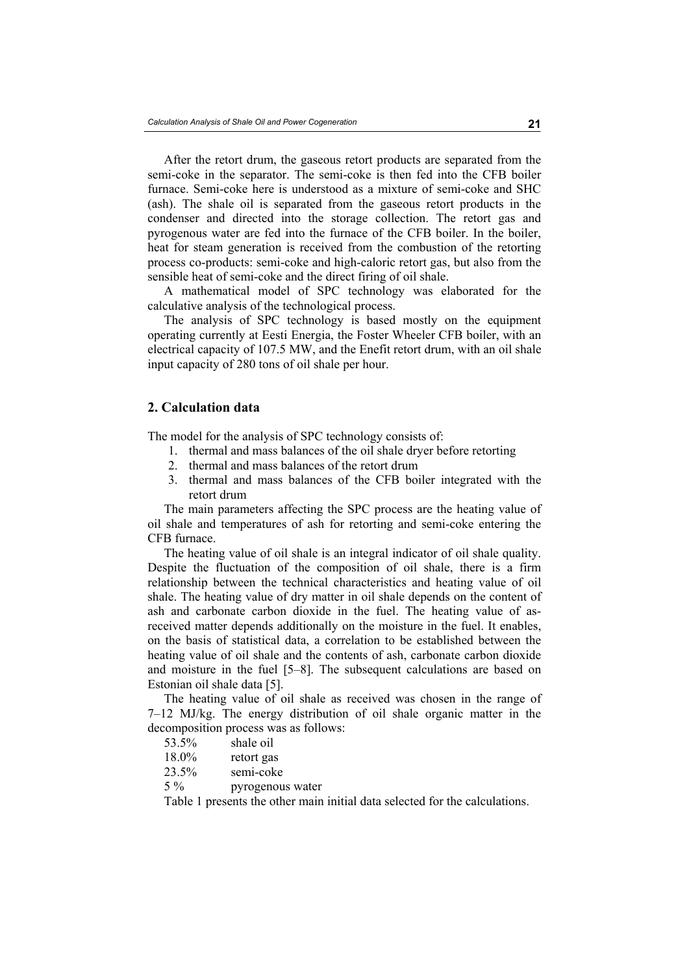After the retort drum, the gaseous retort products are separated from the semi-coke in the separator. The semi-coke is then fed into the CFB boiler furnace. Semi-coke here is understood as a mixture of semi-coke and SHC (ash). The shale oil is separated from the gaseous retort products in the condenser and directed into the storage collection. The retort gas and pyrogenous water are fed into the furnace of the CFB boiler. In the boiler, heat for steam generation is received from the combustion of the retorting process co-products: semi-coke and high-caloric retort gas, but also from the sensible heat of semi-coke and the direct firing of oil shale.

A mathematical model of SPC technology was elaborated for the calculative analysis of the technological process.

The analysis of SPC technology is based mostly on the equipment operating currently at Eesti Energia, the Foster Wheeler CFB boiler, with an electrical capacity of 107.5 MW, and the Enefit retort drum, with an oil shale input capacity of 280 tons of oil shale per hour.

## **2. Calculation data**

The model for the analysis of SPC technology consists of:

- 1. thermal and mass balances of the oil shale dryer before retorting
- 2. thermal and mass balances of the retort drum
- 3. thermal and mass balances of the CFB boiler integrated with the retort drum

The main parameters affecting the SPC process are the heating value of oil shale and temperatures of ash for retorting and semi-coke entering the CFB furnace.

The heating value of oil shale is an integral indicator of oil shale quality. Despite the fluctuation of the composition of oil shale, there is a firm relationship between the technical characteristics and heating value of oil shale. The heating value of dry matter in oil shale depends on the content of ash and carbonate carbon dioxide in the fuel. The heating value of asreceived matter depends additionally on the moisture in the fuel. It enables, on the basis of statistical data, a correlation to be established between the heating value of oil shale and the contents of ash, carbonate carbon dioxide and moisture in the fuel [5–8]. The subsequent calculations are based on Estonian oil shale data [5].

The heating value of oil shale as received was chosen in the range of 7–12 MJ/kg. The energy distribution of oil shale organic matter in the decomposition process was as follows:

- 53.5% shale oil
- 18.0% retort gas
- 23.5% semi-coke
- 5 % pyrogenous water

Table 1 presents the other main initial data selected for the calculations.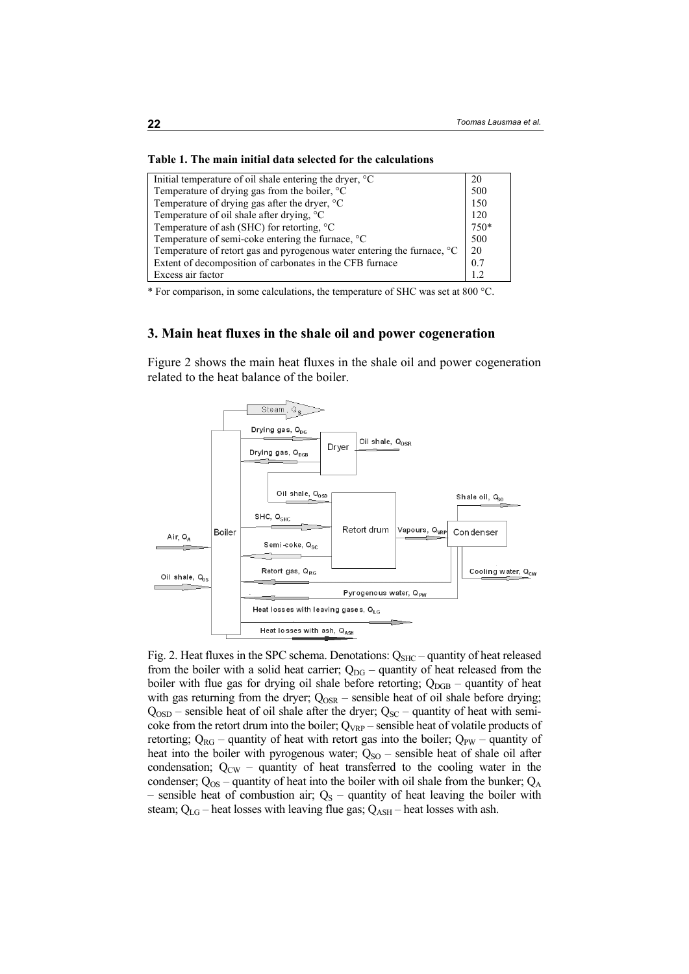#### **Table 1. The main initial data selected for the calculations**

| Initial temperature of oil shale entering the dryer, $\degree$ C                    | 20             |
|-------------------------------------------------------------------------------------|----------------|
| Temperature of drying gas from the boiler, °C                                       | 500            |
| Temperature of drying gas after the dryer, $^{\circ}C$                              | 150            |
| Temperature of oil shale after drying, °C                                           | 120            |
| Temperature of ash (SHC) for retorting, $^{\circ}C$                                 | 750*           |
| Temperature of semi-coke entering the furnace, $\mathrm{^{\circ}C}$                 | 500            |
| Temperature of retort gas and pyrogenous water entering the furnace, <sup>o</sup> C | 20             |
| Extent of decomposition of carbonates in the CFB furnace                            | 0 <sub>7</sub> |
| Excess air factor                                                                   |                |
|                                                                                     |                |

\* For comparison, in some calculations, the temperature of SHC was set at 800 °C.

# **3. Main heat fluxes in the shale oil and power cogeneration**

Figure 2 shows the main heat fluxes in the shale oil and power cogeneration related to the heat balance of the boiler.



Fig. 2. Heat fluxes in the SPC schema. Denotations:  $Q<sub>SHC</sub>$  – quantity of heat released from the boiler with a solid heat carrier;  $Q_{DG}$  – quantity of heat released from the boiler with flue gas for drying oil shale before retorting;  $Q_{DGB}$  – quantity of heat with gas returning from the dryer;  $Q_{OSR}$  – sensible heat of oil shale before drying;  $Q<sub>OSD</sub>$  – sensible heat of oil shale after the dryer;  $Q<sub>SC</sub>$  – quantity of heat with semicoke from the retort drum into the boiler;  $Q_{VRP}$  – sensible heat of volatile products of retorting;  $Q_{RG}$  – quantity of heat with retort gas into the boiler;  $Q_{PW}$  – quantity of heat into the boiler with pyrogenous water;  $Q_{SO}$  – sensible heat of shale oil after condensation;  $Q_{CW}$  – quantity of heat transferred to the cooling water in the condenser;  $Q_{OS}$  – quantity of heat into the boiler with oil shale from the bunker;  $Q_A$ – sensible heat of combustion air;  $Q_S$  – quantity of heat leaving the boiler with steam;  $Q_{LG}$  – heat losses with leaving flue gas;  $Q_{ASH}$  – heat losses with ash.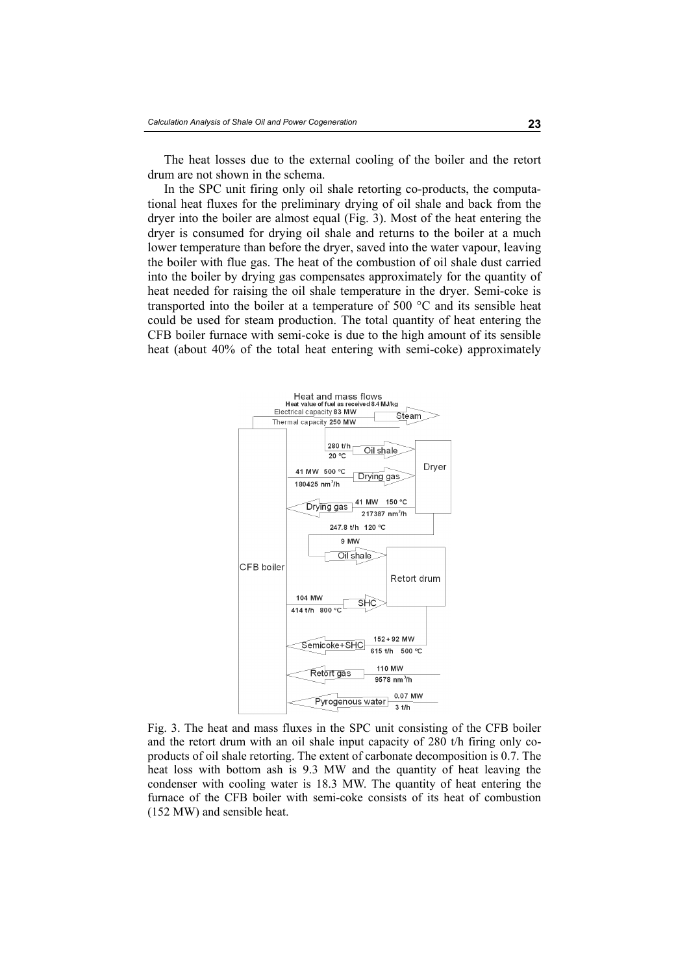The heat losses due to the external cooling of the boiler and the retort drum are not shown in the schema.

In the SPC unit firing only oil shale retorting co-products, the computational heat fluxes for the preliminary drying of oil shale and back from the dryer into the boiler are almost equal (Fig. 3). Most of the heat entering the dryer is consumed for drying oil shale and returns to the boiler at a much lower temperature than before the dryer, saved into the water vapour, leaving the boiler with flue gas. The heat of the combustion of oil shale dust carried into the boiler by drying gas compensates approximately for the quantity of heat needed for raising the oil shale temperature in the dryer. Semi-coke is transported into the boiler at a temperature of 500 °C and its sensible heat could be used for steam production. The total quantity of heat entering the CFB boiler furnace with semi-coke is due to the high amount of its sensible heat (about 40% of the total heat entering with semi-coke) approximately



Fig. 3. The heat and mass fluxes in the SPC unit consisting of the CFB boiler and the retort drum with an oil shale input capacity of 280 t/h firing only coproducts of oil shale retorting. The extent of carbonate decomposition is 0.7. The heat loss with bottom ash is 9.3 MW and the quantity of heat leaving the condenser with cooling water is 18.3 MW. The quantity of heat entering the furnace of the CFB boiler with semi-coke consists of its heat of combustion (152 MW) and sensible heat.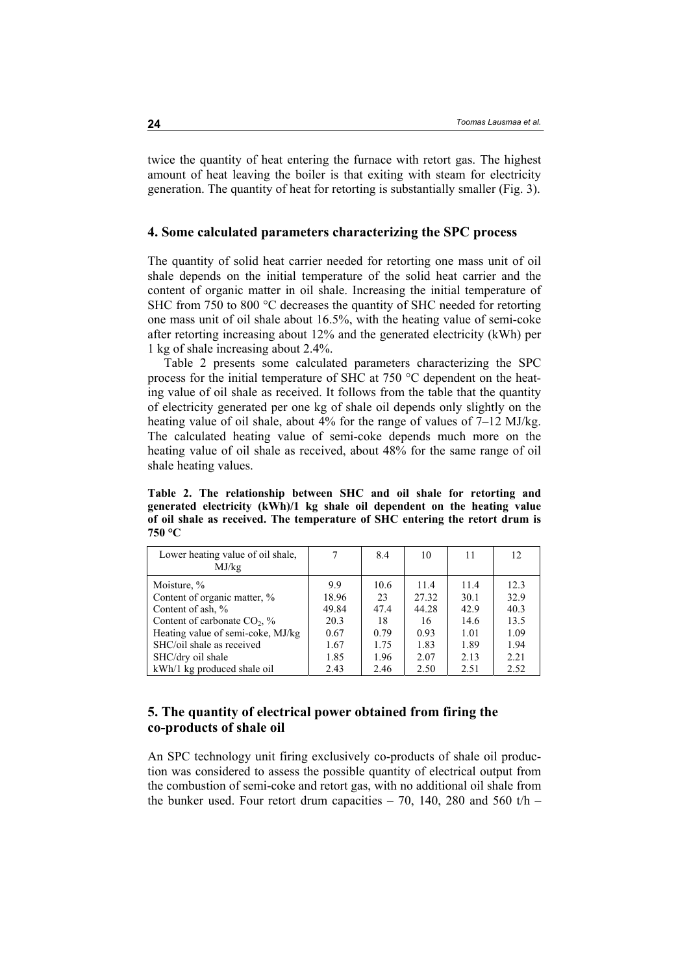twice the quantity of heat entering the furnace with retort gas. The highest amount of heat leaving the boiler is that exiting with steam for electricity generation. The quantity of heat for retorting is substantially smaller (Fig. 3).

### **4. Some calculated parameters characterizing the SPC process**

The quantity of solid heat carrier needed for retorting one mass unit of oil shale depends on the initial temperature of the solid heat carrier and the content of organic matter in oil shale. Increasing the initial temperature of SHC from 750 to 800 °C decreases the quantity of SHC needed for retorting one mass unit of oil shale about 16.5%, with the heating value of semi-coke after retorting increasing about 12% and the generated electricity (kWh) per 1 kg of shale increasing about 2.4%.

Table 2 presents some calculated parameters characterizing the SPC process for the initial temperature of SHC at 750 °C dependent on the heating value of oil shale as received. It follows from the table that the quantity of electricity generated per one kg of shale oil depends only slightly on the heating value of oil shale, about 4% for the range of values of 7–12 MJ/kg. The calculated heating value of semi-coke depends much more on the heating value of oil shale as received, about 48% for the same range of oil shale heating values.

**Table 2. The relationship between SHC and oil shale for retorting and generated electricity (kWh)/1 kg shale oil dependent on the heating value of oil shale as received. The temperature of SHC entering the retort drum is 750 °C** 

| Lower heating value of oil shale,<br>MJ/kg |       | 8.4  | 10    | 11   | 12   |
|--------------------------------------------|-------|------|-------|------|------|
| Moisture, %                                | 99    | 10.6 | 11.4  | 11.4 | 12.3 |
| Content of organic matter, %               | 18.96 | 23   | 27.32 | 30.1 | 32.9 |
| Content of ash, %                          | 49.84 | 47.4 | 44.28 | 42.9 | 40.3 |
| Content of carbonate $CO2$ , %             | 20.3  | 18   | 16    | 14.6 | 13.5 |
| Heating value of semi-coke, MJ/kg          | 0.67  | 0.79 | 0.93  | 1.01 | 1.09 |
| SHC/oil shale as received                  | 1.67  | 1.75 | 1.83  | 1.89 | 1.94 |
| SHC/dry oil shale                          | 1.85  | 1.96 | 2.07  | 2.13 | 2.21 |
| kWh/1 kg produced shale oil                | 2.43  | 2.46 | 2.50  | 2.51 | 2.52 |

# **5. The quantity of electrical power obtained from firing the co-products of shale oil**

An SPC technology unit firing exclusively co-products of shale oil production was considered to assess the possible quantity of electrical output from the combustion of semi-coke and retort gas, with no additional oil shale from the bunker used. Four retort drum capacities  $-70$ , 140, 280 and 560 t/h  $-$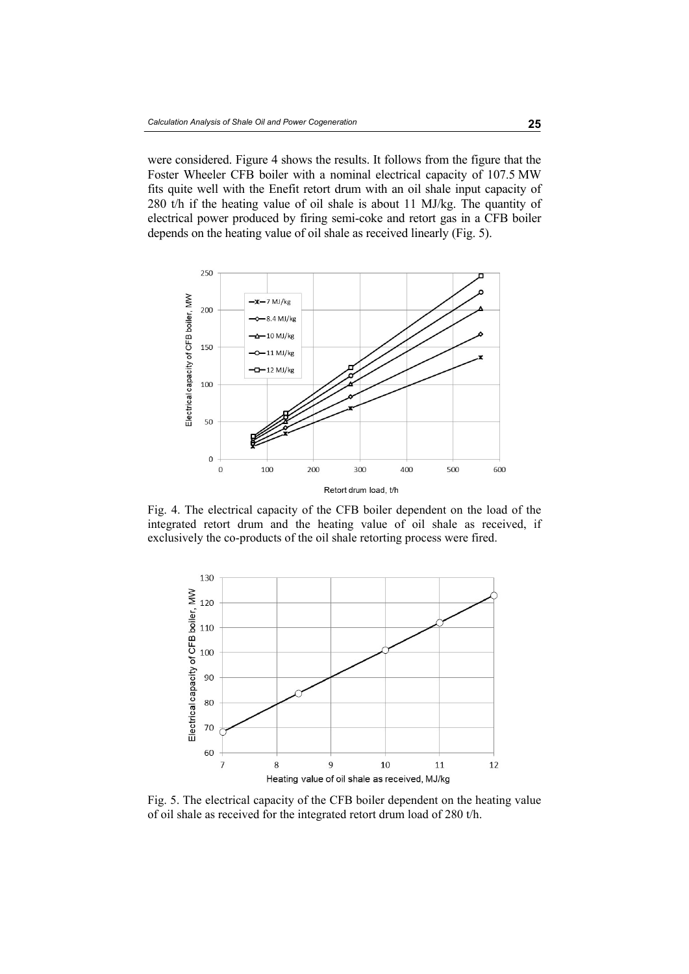were considered. Figure 4 shows the results. It follows from the figure that the Foster Wheeler CFB boiler with a nominal electrical capacity of 107.5 MW fits quite well with the Enefit retort drum with an oil shale input capacity of 280 t/h if the heating value of oil shale is about 11 MJ/kg. The quantity of electrical power produced by firing semi-coke and retort gas in a CFB boiler depends on the heating value of oil shale as received linearly (Fig. 5).



Fig. 4. The electrical capacity of the CFB boiler dependent on the load of the integrated retort drum and the heating value of oil shale as received, if exclusively the co-products of the oil shale retorting process were fired.



Fig. 5. The electrical capacity of the CFB boiler dependent on the heating value of oil shale as received for the integrated retort drum load of 280 t/h.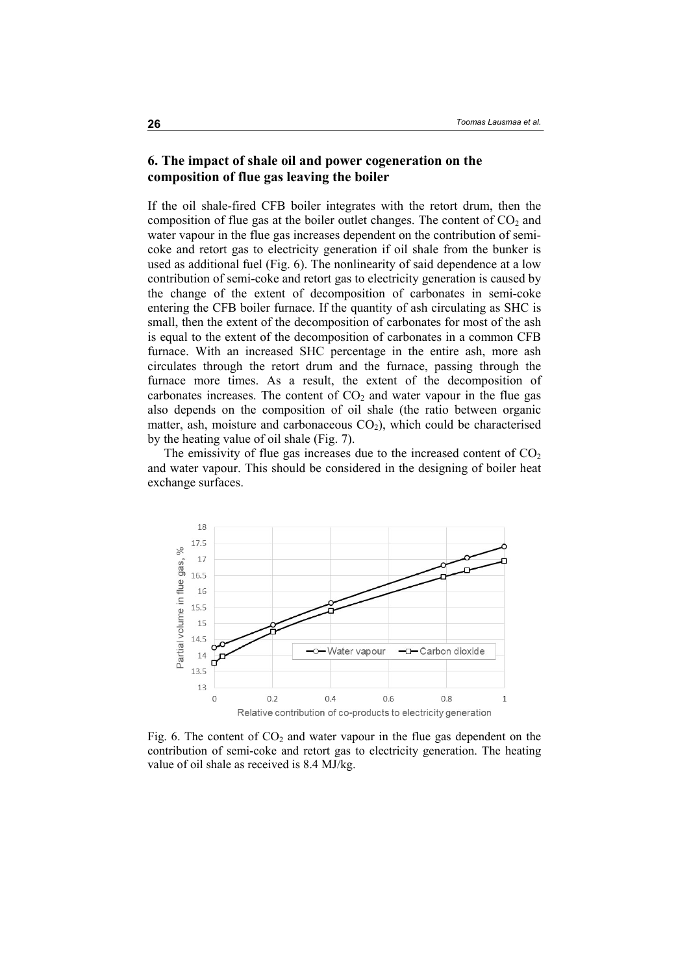## **6. The impact of shale oil and power cogeneration on the composition of flue gas leaving the boiler**

If the oil shale-fired CFB boiler integrates with the retort drum, then the composition of flue gas at the boiler outlet changes. The content of  $CO<sub>2</sub>$  and water vapour in the flue gas increases dependent on the contribution of semicoke and retort gas to electricity generation if oil shale from the bunker is used as additional fuel (Fig. 6). The nonlinearity of said dependence at a low contribution of semi-coke and retort gas to electricity generation is caused by the change of the extent of decomposition of carbonates in semi-coke entering the CFB boiler furnace. If the quantity of ash circulating as SHC is small, then the extent of the decomposition of carbonates for most of the ash is equal to the extent of the decomposition of carbonates in a common CFB furnace. With an increased SHC percentage in the entire ash, more ash circulates through the retort drum and the furnace, passing through the furnace more times. As a result, the extent of the decomposition of carbonates increases. The content of  $CO<sub>2</sub>$  and water vapour in the flue gas also depends on the composition of oil shale (the ratio between organic matter, ash, moisture and carbonaceous  $CO<sub>2</sub>$ ), which could be characterised by the heating value of oil shale (Fig. 7).

The emissivity of flue gas increases due to the increased content of  $CO<sub>2</sub>$ and water vapour. This should be considered in the designing of boiler heat exchange surfaces.



Fig. 6. The content of  $CO<sub>2</sub>$  and water vapour in the flue gas dependent on the contribution of semi-coke and retort gas to electricity generation. The heating value of oil shale as received is 8.4 MJ/kg.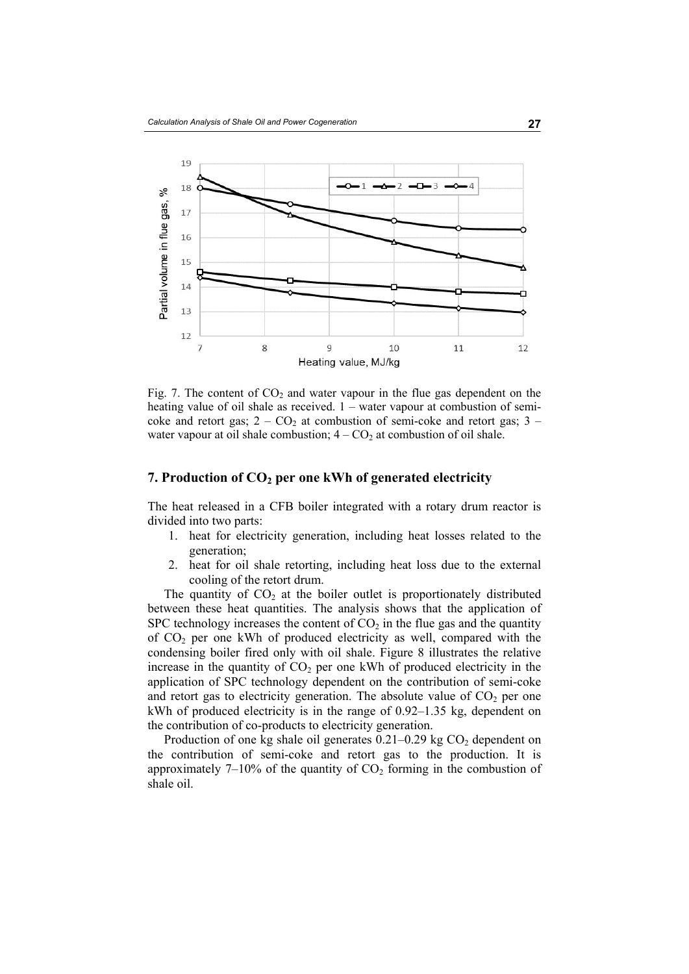

Fig. 7. The content of  $CO<sub>2</sub>$  and water vapour in the flue gas dependent on the heating value of oil shale as received. 1 – water vapour at combustion of semicoke and retort gas;  $2 - CO_2$  at combustion of semi-coke and retort gas;  $3$ water vapour at oil shale combustion;  $4 - CO<sub>2</sub>$  at combustion of oil shale.

### **7. Production of CO<sub>2</sub> per one kWh of generated electricity**

The heat released in a CFB boiler integrated with a rotary drum reactor is divided into two parts:

- 1. heat for electricity generation, including heat losses related to the generation;
- 2. heat for oil shale retorting, including heat loss due to the external cooling of the retort drum.

The quantity of  $CO<sub>2</sub>$  at the boiler outlet is proportionately distributed between these heat quantities. The analysis shows that the application of SPC technology increases the content of  $CO<sub>2</sub>$  in the flue gas and the quantity of CO2 per one kWh of produced electricity as well, compared with the condensing boiler fired only with oil shale. Figure 8 illustrates the relative increase in the quantity of  $CO<sub>2</sub>$  per one kWh of produced electricity in the application of SPC technology dependent on the contribution of semi-coke and retort gas to electricity generation. The absolute value of  $CO<sub>2</sub>$  per one kWh of produced electricity is in the range of 0.92–1.35 kg, dependent on the contribution of co-products to electricity generation.

Production of one kg shale oil generates  $0.21-0.29$  kg  $CO<sub>2</sub>$  dependent on the contribution of semi-coke and retort gas to the production. It is approximately 7–10% of the quantity of  $CO<sub>2</sub>$  forming in the combustion of shale oil.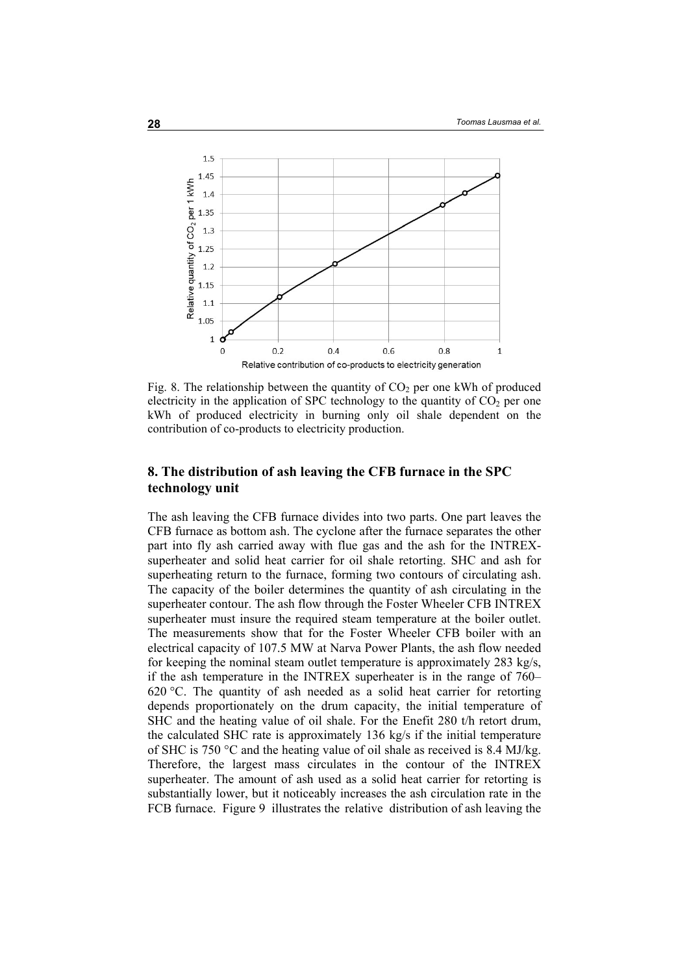

Fig. 8. The relationship between the quantity of  $CO<sub>2</sub>$  per one kWh of produced electricity in the application of SPC technology to the quantity of  $CO<sub>2</sub>$  per one kWh of produced electricity in burning only oil shale dependent on the contribution of co-products to electricity production.

# **8. The distribution of ash leaving the CFB furnace in the SPC technology unit**

The ash leaving the CFB furnace divides into two parts. One part leaves the CFB furnace as bottom ash. The cyclone after the furnace separates the other part into fly ash carried away with flue gas and the ash for the INTREXsuperheater and solid heat carrier for oil shale retorting. SHC and ash for superheating return to the furnace, forming two contours of circulating ash. The capacity of the boiler determines the quantity of ash circulating in the superheater contour. The ash flow through the Foster Wheeler CFB INTREX superheater must insure the required steam temperature at the boiler outlet. The measurements show that for the Foster Wheeler CFB boiler with an electrical capacity of 107.5 MW at Narva Power Plants, the ash flow needed for keeping the nominal steam outlet temperature is approximately 283 kg/s, if the ash temperature in the INTREX superheater is in the range of 760– 620 °C. The quantity of ash needed as a solid heat carrier for retorting depends proportionately on the drum capacity, the initial temperature of SHC and the heating value of oil shale. For the Enefit 280 t/h retort drum, the calculated SHC rate is approximately 136 kg/s if the initial temperature of SHC is 750 °C and the heating value of oil shale as received is 8.4 MJ/kg. Therefore, the largest mass circulates in the contour of the INTREX superheater. The amount of ash used as a solid heat carrier for retorting is substantially lower, but it noticeably increases the ash circulation rate in the FCB furnace. Figure 9 illustrates the relative distribution of ash leaving the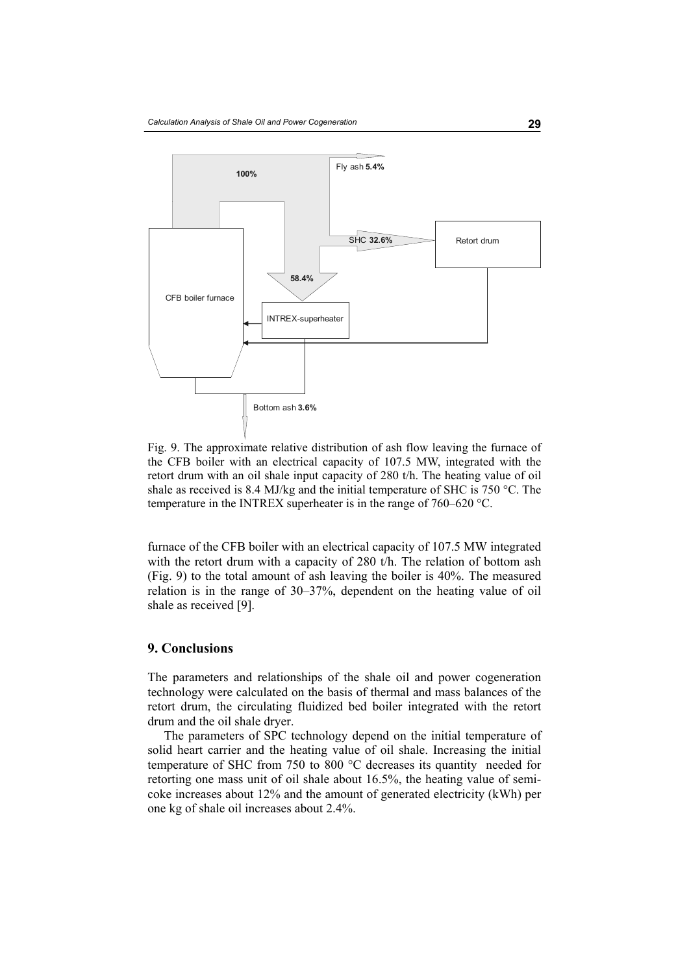

Fig. 9. The approximate relative distribution of ash flow leaving the furnace of the CFB boiler with an electrical capacity of 107.5 MW, integrated with the retort drum with an oil shale input capacity of 280 t/h. The heating value of oil shale as received is 8.4 MJ/kg and the initial temperature of SHC is 750 °C. The temperature in the INTREX superheater is in the range of 760–620 °C.

furnace of the CFB boiler with an electrical capacity of 107.5 MW integrated with the retort drum with a capacity of 280 t/h. The relation of bottom ash (Fig. 9) to the total amount of ash leaving the boiler is 40%. The measured relation is in the range of 30–37%, dependent on the heating value of oil shale as received [9].

#### **9. Conclusions**

The parameters and relationships of the shale oil and power cogeneration technology were calculated on the basis of thermal and mass balances of the retort drum, the circulating fluidized bed boiler integrated with the retort drum and the oil shale dryer.

The parameters of SPC technology depend on the initial temperature of solid heart carrier and the heating value of oil shale. Increasing the initial temperature of SHC from 750 to 800 °C decreases its quantity needed for retorting one mass unit of oil shale about 16.5%, the heating value of semicoke increases about 12% and the amount of generated electricity (kWh) per one kg of shale oil increases about 2.4%.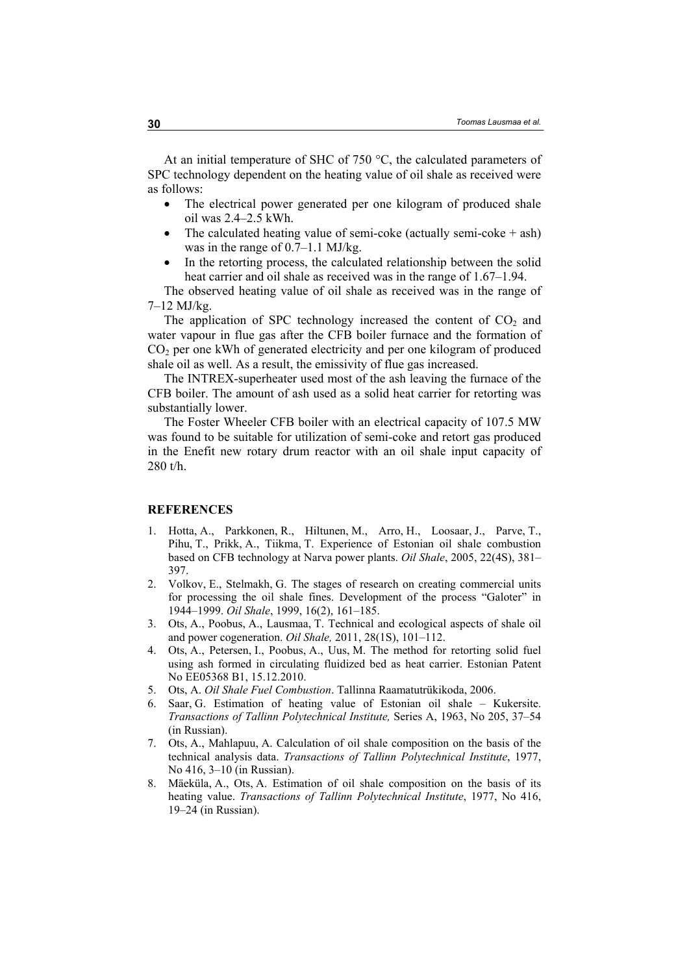At an initial temperature of SHC of 750 °C, the calculated parameters of SPC technology dependent on the heating value of oil shale as received were as follows:

- The electrical power generated per one kilogram of produced shale oil was 2.4–2.5 kWh.
- The calculated heating value of semi-coke (actually semi-coke  $+$  ash) was in the range of 0.7–1.1 MJ/kg.
- In the retorting process, the calculated relationship between the solid heat carrier and oil shale as received was in the range of 1.67–1.94.

The observed heating value of oil shale as received was in the range of 7–12 MJ/kg.

The application of SPC technology increased the content of  $CO<sub>2</sub>$  and water vapour in flue gas after the CFB boiler furnace and the formation of CO<sub>2</sub> per one kWh of generated electricity and per one kilogram of produced shale oil as well. As a result, the emissivity of flue gas increased.

The INTREX-superheater used most of the ash leaving the furnace of the CFB boiler. The amount of ash used as a solid heat carrier for retorting was substantially lower.

The Foster Wheeler CFB boiler with an electrical capacity of 107.5 MW was found to be suitable for utilization of semi-coke and retort gas produced in the Enefit new rotary drum reactor with an oil shale input capacity of 280 t/h.

#### **REFERENCES**

- 1. Hotta, A., Parkkonen, R., Hiltunen, M., Arro, H., Loosaar, J., Parve, T., Pihu, T., Prikk, A., Tiikma, T. Experience of Estonian oil shale combustion based on CFB technology at Narva power plants. *Oil Shale*, 2005, 22(4S), 381– 397.
- 2. Volkov, E., Stelmakh, G. The stages of research on creating commercial units for processing the oil shale fines. Development of the process "Galoter" in 1944–1999. *Oil Shale*, 1999, 16(2), 161–185.
- 3. Ots, A., Poobus, A., Lausmaa, T. Technical and ecological aspects of shale oil and power cogeneration. *Oil Shale,* 2011, 28(1S), 101–112.
- 4. Ots, A., Petersen, I., Poobus, A., Uus, M. The method for retorting solid fuel using ash formed in circulating fluidized bed as heat carrier. Estonian Patent No EE05368 B1, 15.12.2010.
- 5. Ots, A. *Oil Shale Fuel Combustion*. Tallinna Raamatutrükikoda, 2006.
- 6. Saar, G. Estimation of heating value of Estonian oil shale Kukersite. *Transactions of Tallinn Polytechnical Institute,* Series A, 1963, No 205, 37–54 (in Russian).
- 7. Ots, A., Mahlapuu, A. Calculation of oil shale composition on the basis of the technical analysis data. *Transactions of Tallinn Polytechnical Institute*, 1977, No 416, 3–10 (in Russian).
- 8. Mäeküla, A., Ots, A. Estimation of oil shale composition on the basis of its heating value. *Transactions of Tallinn Polytechnical Institute*, 1977, No 416, 19–24 (in Russian).